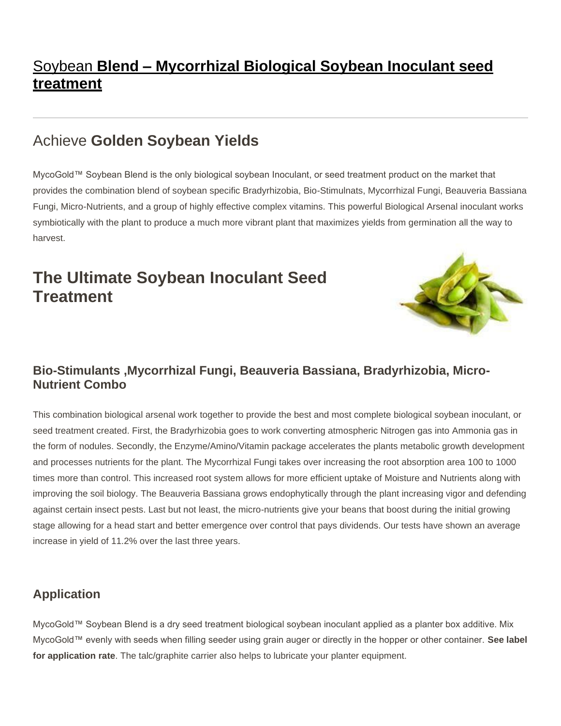## Soybean **Blend – [Mycorrhizal Biological Soybean Inoculant seed](http://www.mycogold.com/soybean-blend-mycogold-products/) [treatment](http://www.mycogold.com/soybean-blend-mycogold-products/)**

## Achieve **Golden Soybean Yields**

MycoGold™ Soybean Blend is the only biological soybean Inoculant, or seed treatment product on the market that provides the combination blend of soybean specific Bradyrhizobia, Bio-Stimulnats, Mycorrhizal Fungi, Beauveria Bassiana Fungi, Micro-Nutrients, and a group of highly effective complex vitamins. This powerful Biological Arsenal inoculant works symbiotically with the plant to produce a much more vibrant plant that maximizes yields from germination all the way to harvest.

## **The Ultimate Soybean Inoculant Seed Treatment**



#### **Bio-Stimulants ,Mycorrhizal Fungi, Beauveria Bassiana, Bradyrhizobia, Micro-Nutrient Combo**

This combination biological arsenal work together to provide the best and most complete biological soybean inoculant, or seed treatment created. First, the Bradyrhizobia goes to work converting atmospheric Nitrogen gas into Ammonia gas in the form of nodules. Secondly, the Enzyme/Amino/Vitamin package accelerates the plants metabolic growth development and processes nutrients for the plant. The Mycorrhizal Fungi takes over increasing the root absorption area 100 to 1000 times more than control. This increased root system allows for more efficient uptake of Moisture and Nutrients along with improving the soil biology. The Beauveria Bassiana grows endophytically through the plant increasing vigor and defending against certain insect pests. Last but not least, the micro-nutrients give your beans that boost during the initial growing stage allowing for a head start and better emergence over control that pays dividends. Our tests have shown an average increase in yield of 11.2% over the last three years.

#### **Application**

MycoGold™ Soybean Blend is a dry seed treatment biological soybean inoculant applied as a planter box additive. Mix MycoGold™ evenly with seeds when filling seeder using grain auger or directly in the hopper or other container. **See label for application rate**. The talc/graphite carrier also helps to lubricate your planter equipment.